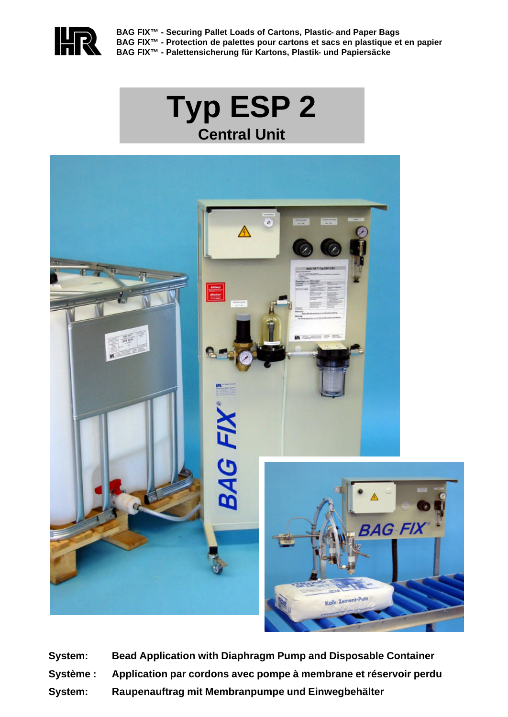

**BAG FIX™ - Securing Pallet Loads of Cartons, Plastic- and Paper Bags BAG FIX™ - Protection de palettes pour cartons et sacs en plastique et en papier BAG FIX™ - Palettensicherung für Kartons, Plastik- und Papiersäcke**

# **Typ ESP 2 Central Unit**



**System: Bead Application with Diaphragm Pump and Disposable Container Système : Application par cordons avec pompe à membrane et réservoir perdu System: Raupenauftrag mit Membranpumpe und Einwegbehälter**